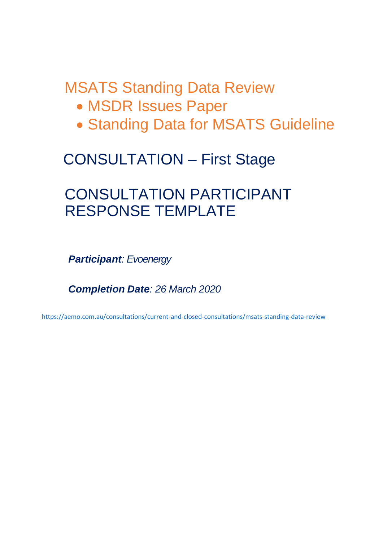# MSATS Standing Data Review

- MSDR Issues Paper
- Standing Data for MSATS Guideline

# CONSULTATION – First Stage

## CONSULTATION PARTICIPANT RESPONSE TEMPLATE

*Participant: Evoenergy*

*Completion Date: 26 March 2020*

<https://aemo.com.au/consultations/current-and-closed-consultations/msats-standing-data-review>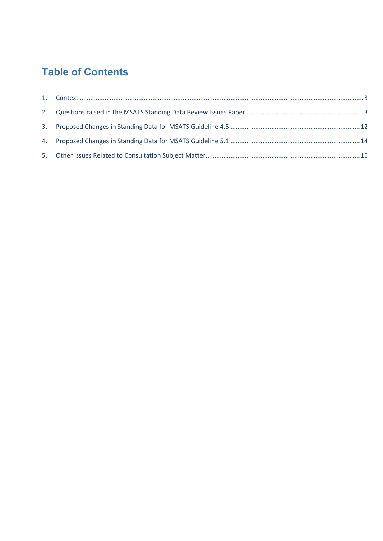## **Table of Contents**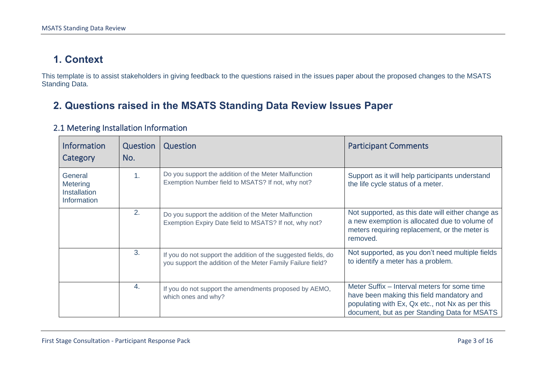## **1. Context**

This template is to assist stakeholders in giving feedback to the questions raised in the issues paper about the proposed changes to the MSATS Standing Data.

## **2. Questions raised in the MSATS Standing Data Review Issues Paper**

<span id="page-2-1"></span><span id="page-2-0"></span>

| <b>Information</b><br>Category                     | Question<br>No. | Question                                                                                                                      | <b>Participant Comments</b>                                                                                                                                                                  |
|----------------------------------------------------|-----------------|-------------------------------------------------------------------------------------------------------------------------------|----------------------------------------------------------------------------------------------------------------------------------------------------------------------------------------------|
| General<br>Metering<br>Installation<br>Information | 1.              | Do you support the addition of the Meter Malfunction<br>Exemption Number field to MSATS? If not, why not?                     | Support as it will help participants understand<br>the life cycle status of a meter.                                                                                                         |
|                                                    | 2.              | Do you support the addition of the Meter Malfunction<br>Exemption Expiry Date field to MSATS? If not, why not?                | Not supported, as this date will either change as<br>a new exemption is allocated due to volume of<br>meters requiring replacement, or the meter is<br>removed.                              |
|                                                    | 3.              | If you do not support the addition of the suggested fields, do<br>you support the addition of the Meter Family Failure field? | Not supported, as you don't need multiple fields<br>to identify a meter has a problem.                                                                                                       |
|                                                    | 4.              | If you do not support the amendments proposed by AEMO,<br>which ones and why?                                                 | Meter Suffix – Interval meters for some time<br>have been making this field mandatory and<br>populating with Ex, Qx etc., not Nx as per this<br>document, but as per Standing Data for MSATS |

#### 2.1 Metering Installation Information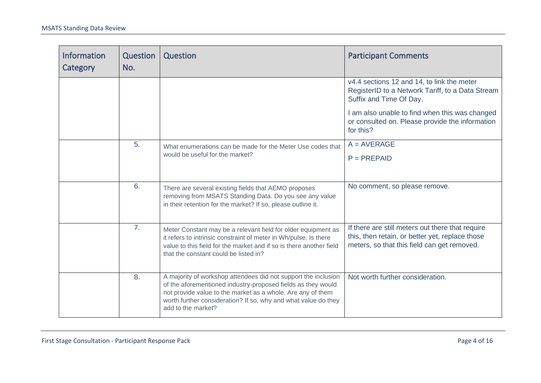| <b>Information</b><br>Category | Question<br>No. | Question                                                                                                                                                                                                                                                                              | <b>Participant Comments</b>                                                                                                                        |
|--------------------------------|-----------------|---------------------------------------------------------------------------------------------------------------------------------------------------------------------------------------------------------------------------------------------------------------------------------------|----------------------------------------------------------------------------------------------------------------------------------------------------|
|                                |                 |                                                                                                                                                                                                                                                                                       | v4.4 sections 12 and 14, to link the meter<br>RegisterID to a Network Tariff, to a Data Stream<br>Suffix and Time Of Day.                          |
|                                |                 |                                                                                                                                                                                                                                                                                       | I am also unable to find when this was changed<br>or consulted on. Please provide the information<br>for this?                                     |
|                                | 5.              | What enumerations can be made for the Meter Use codes that                                                                                                                                                                                                                            | $A = AVERAGE$                                                                                                                                      |
|                                |                 | would be useful for the market?                                                                                                                                                                                                                                                       | $P = PREPAID$                                                                                                                                      |
|                                | 6.              | There are several existing fields that AEMO proposes<br>removing from MSATS Standing Data. Do you see any value<br>in their retention for the market? If so, please outline it.                                                                                                       | No comment, so please remove.                                                                                                                      |
|                                | 7 <sub>1</sub>  | Meter Constant may be a relevant field for older equipment as<br>it refers to intrinsic constraint of meter in Wh/pulse. Is there<br>value to this field for the market and if so is there another field<br>that the constant could be listed in?                                     | If there are still meters out there that require<br>this, then retain, or better yet, replace those<br>meters, so that this field can get removed. |
|                                | 8.              | A majority of workshop attendees did not support the inclusion<br>of the aforementioned industry-proposed fields as they would<br>not provide value to the market as a whole. Are any of them<br>worth further consideration? If so, why and what value do they<br>add to the market? | Not worth further consideration.                                                                                                                   |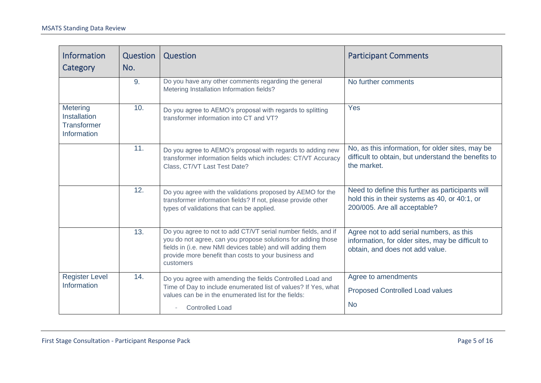| <b>Information</b><br>Category                                       | Question<br>No. | Question                                                                                                                                                                                                                                                          | <b>Participant Comments</b>                                                                                                       |
|----------------------------------------------------------------------|-----------------|-------------------------------------------------------------------------------------------------------------------------------------------------------------------------------------------------------------------------------------------------------------------|-----------------------------------------------------------------------------------------------------------------------------------|
|                                                                      | 9.              | Do you have any other comments regarding the general<br>Metering Installation Information fields?                                                                                                                                                                 | No further comments                                                                                                               |
| Metering<br><b>Installation</b><br><b>Transformer</b><br>Information | 10.             | Do you agree to AEMO's proposal with regards to splitting<br>transformer information into CT and VT?                                                                                                                                                              | Yes                                                                                                                               |
|                                                                      | 11.             | Do you agree to AEMO's proposal with regards to adding new<br>transformer information fields which includes: CT/VT Accuracy<br>Class, CT/VT Last Test Date?                                                                                                       | No, as this information, for older sites, may be<br>difficult to obtain, but understand the benefits to<br>the market.            |
|                                                                      | 12.             | Do you agree with the validations proposed by AEMO for the<br>transformer information fields? If not, please provide other<br>types of validations that can be applied.                                                                                           | Need to define this further as participants will<br>hold this in their systems as 40, or 40:1, or<br>200/005. Are all acceptable? |
|                                                                      | 13.             | Do you agree to not to add CT/VT serial number fields, and if<br>you do not agree, can you propose solutions for adding those<br>fields in (i.e. new NMI devices table) and will adding them<br>provide more benefit than costs to your business and<br>customers | Agree not to add serial numbers, as this<br>information, for older sites, may be difficult to<br>obtain, and does not add value.  |
| <b>Register Level</b><br>Information                                 | 14.             | Do you agree with amending the fields Controlled Load and<br>Time of Day to include enumerated list of values? If Yes, what<br>values can be in the enumerated list for the fields:<br><b>Controlled Load</b>                                                     | Agree to amendments<br><b>Proposed Controlled Load values</b><br><b>No</b>                                                        |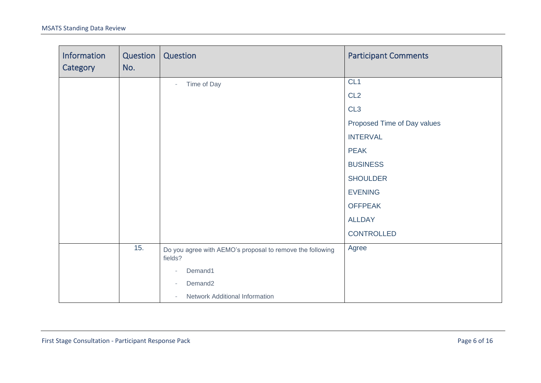| Information<br>Category | Question<br>No. | Question                                                             | <b>Participant Comments</b> |
|-------------------------|-----------------|----------------------------------------------------------------------|-----------------------------|
|                         |                 | Time of Day<br>$-$                                                   | CL <sub>1</sub>             |
|                         |                 |                                                                      | CL <sub>2</sub>             |
|                         |                 |                                                                      | CL <sub>3</sub>             |
|                         |                 |                                                                      | Proposed Time of Day values |
|                         |                 |                                                                      | <b>INTERVAL</b>             |
|                         |                 |                                                                      | <b>PEAK</b>                 |
|                         |                 |                                                                      | <b>BUSINESS</b>             |
|                         |                 |                                                                      | <b>SHOULDER</b>             |
|                         |                 |                                                                      | <b>EVENING</b>              |
|                         |                 |                                                                      | <b>OFFPEAK</b>              |
|                         |                 |                                                                      | <b>ALLDAY</b>               |
|                         |                 |                                                                      | CONTROLLED                  |
|                         | 15.             | Do you agree with AEMO's proposal to remove the following<br>fields? | Agree                       |
|                         |                 | Demand1                                                              |                             |
|                         |                 | Demand <sub>2</sub>                                                  |                             |
|                         |                 | Network Additional Information                                       |                             |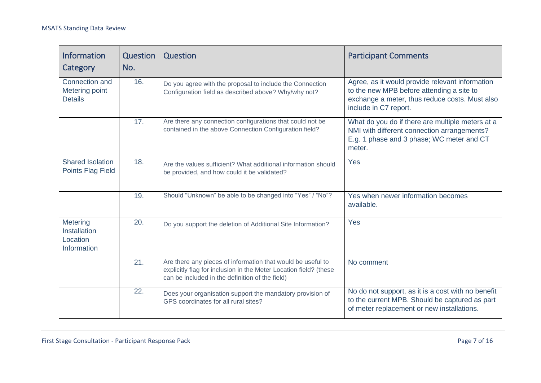| <b>Information</b><br>Category                      | Question<br>No. | Question                                                                                                                                                                            | <b>Participant Comments</b>                                                                                                                                             |
|-----------------------------------------------------|-----------------|-------------------------------------------------------------------------------------------------------------------------------------------------------------------------------------|-------------------------------------------------------------------------------------------------------------------------------------------------------------------------|
| Connection and<br>Metering point<br><b>Details</b>  | 16.             | Do you agree with the proposal to include the Connection<br>Configuration field as described above? Why/why not?                                                                    | Agree, as it would provide relevant information<br>to the new MPB before attending a site to<br>exchange a meter, thus reduce costs. Must also<br>include in C7 report. |
|                                                     | 17.             | Are there any connection configurations that could not be<br>contained in the above Connection Configuration field?                                                                 | What do you do if there are multiple meters at a<br>NMI with different connection arrangements?<br>E.g. 1 phase and 3 phase; WC meter and CT<br>meter.                  |
| <b>Shared Isolation</b><br><b>Points Flag Field</b> | 18.             | Are the values sufficient? What additional information should<br>be provided, and how could it be validated?                                                                        | Yes                                                                                                                                                                     |
|                                                     | 19.             | Should "Unknown" be able to be changed into "Yes" / "No"?                                                                                                                           | Yes when newer information becomes<br>available.                                                                                                                        |
| Metering<br>Installation<br>Location<br>Information | 20.             | Do you support the deletion of Additional Site Information?                                                                                                                         | Yes                                                                                                                                                                     |
|                                                     | 21.             | Are there any pieces of information that would be useful to<br>explicitly flag for inclusion in the Meter Location field? (these<br>can be included in the definition of the field) | No comment                                                                                                                                                              |
|                                                     | 22.             | Does your organisation support the mandatory provision of<br>GPS coordinates for all rural sites?                                                                                   | No do not support, as it is a cost with no benefit<br>to the current MPB. Should be captured as part<br>of meter replacement or new installations.                      |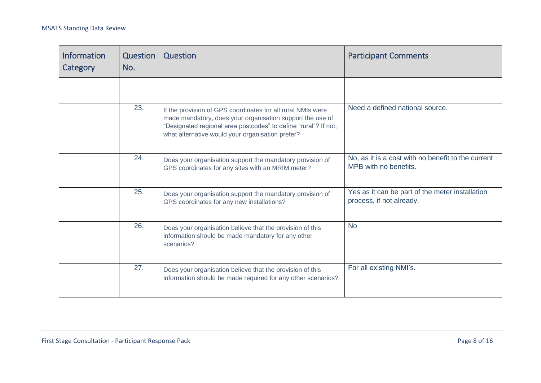| <b>Information</b><br>Category | Question<br>No. | Question                                                                                                                                                                                                                                        | <b>Participant Comments</b>                                                 |
|--------------------------------|-----------------|-------------------------------------------------------------------------------------------------------------------------------------------------------------------------------------------------------------------------------------------------|-----------------------------------------------------------------------------|
|                                |                 |                                                                                                                                                                                                                                                 |                                                                             |
|                                | 23.             | If the provision of GPS coordinates for all rural NMIs were<br>made mandatory, does your organisation support the use of<br>"Designated regional area postcodes" to define "rural"? If not,<br>what alternative would your organisation prefer? | Need a defined national source.                                             |
|                                | 24.             | Does your organisation support the mandatory provision of<br>GPS coordinates for any sites with an MRIM meter?                                                                                                                                  | No, as it is a cost with no benefit to the current<br>MPB with no benefits. |
|                                | 25.             | Does your organisation support the mandatory provision of<br>GPS coordinates for any new installations?                                                                                                                                         | Yes as it can be part of the meter installation<br>process, if not already. |
|                                | 26.             | Does your organisation believe that the provision of this<br>information should be made mandatory for any other<br>scenarios?                                                                                                                   | <b>No</b>                                                                   |
|                                | 27.             | Does your organisation believe that the provision of this<br>information should be made required for any other scenarios?                                                                                                                       | For all existing NMI's.                                                     |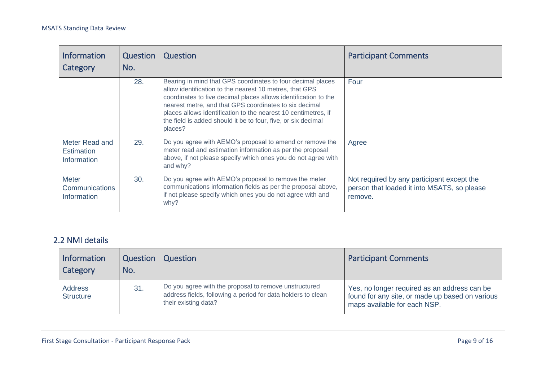| <b>Information</b><br>Category                     | Question<br>No. | Question                                                                                                                                                                                                                                                                                                                                                                                          | <b>Participant Comments</b>                                                                          |
|----------------------------------------------------|-----------------|---------------------------------------------------------------------------------------------------------------------------------------------------------------------------------------------------------------------------------------------------------------------------------------------------------------------------------------------------------------------------------------------------|------------------------------------------------------------------------------------------------------|
|                                                    | 28.             | Bearing in mind that GPS coordinates to four decimal places<br>allow identification to the nearest 10 metres, that GPS<br>coordinates to five decimal places allows identification to the<br>nearest metre, and that GPS coordinates to six decimal<br>places allows identification to the nearest 10 centimetres, if<br>the field is added should it be to four, five, or six decimal<br>places? | Four                                                                                                 |
| Meter Read and<br><b>Estimation</b><br>Information | 29.             | Do you agree with AEMO's proposal to amend or remove the<br>meter read and estimation information as per the proposal<br>above, if not please specify which ones you do not agree with<br>and why?                                                                                                                                                                                                | Agree                                                                                                |
| <b>Meter</b><br>Communications<br>Information      | 30.             | Do you agree with AEMO's proposal to remove the meter<br>communications information fields as per the proposal above,<br>if not please specify which ones you do not agree with and<br>why?                                                                                                                                                                                                       | Not required by any participant except the<br>person that loaded it into MSATS, so please<br>remove. |

#### 2.2 NMI details

| Information<br>Category            | Question<br>No. | Question                                                                                                                                      | <b>Participant Comments</b>                                                                                                     |
|------------------------------------|-----------------|-----------------------------------------------------------------------------------------------------------------------------------------------|---------------------------------------------------------------------------------------------------------------------------------|
| <b>Address</b><br><b>Structure</b> | 31.             | Do you agree with the proposal to remove unstructured<br>address fields, following a period for data holders to clean<br>their existing data? | Yes, no longer required as an address can be<br>found for any site, or made up based on various<br>maps available for each NSP. |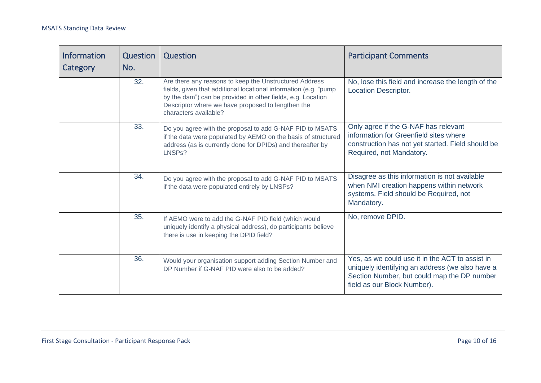| <b>Information</b><br>Category | Question<br>No. | Question                                                                                                                                                                                                                                                                | <b>Participant Comments</b>                                                                                                                                                      |
|--------------------------------|-----------------|-------------------------------------------------------------------------------------------------------------------------------------------------------------------------------------------------------------------------------------------------------------------------|----------------------------------------------------------------------------------------------------------------------------------------------------------------------------------|
|                                | 32.             | Are there any reasons to keep the Unstructured Address<br>fields, given that additional locational information (e.g. "pump<br>by the dam") can be provided in other fields, e.g. Location<br>Descriptor where we have proposed to lengthen the<br>characters available? | No, lose this field and increase the length of the<br><b>Location Descriptor.</b>                                                                                                |
|                                | 33.             | Do you agree with the proposal to add G-NAF PID to MSATS<br>if the data were populated by AEMO on the basis of structured<br>address (as is currently done for DPIDs) and thereafter by<br>LNSPs?                                                                       | Only agree if the G-NAF has relevant<br>information for Greenfield sites where<br>construction has not yet started. Field should be<br>Required, not Mandatory.                  |
|                                | 34.             | Do you agree with the proposal to add G-NAF PID to MSATS<br>if the data were populated entirely by LNSPs?                                                                                                                                                               | Disagree as this information is not available<br>when NMI creation happens within network<br>systems. Field should be Required, not<br>Mandatory.                                |
|                                | 35.             | If AEMO were to add the G-NAF PID field (which would<br>uniquely identify a physical address), do participants believe<br>there is use in keeping the DPID field?                                                                                                       | No, remove DPID.                                                                                                                                                                 |
|                                | 36.             | Would your organisation support adding Section Number and<br>DP Number if G-NAF PID were also to be added?                                                                                                                                                              | Yes, as we could use it in the ACT to assist in<br>uniquely identifying an address (we also have a<br>Section Number, but could map the DP number<br>field as our Block Number). |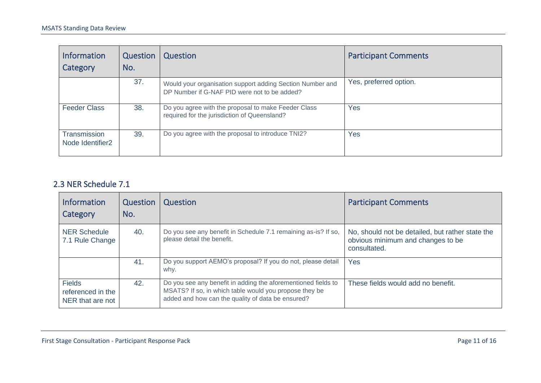| <b>Information</b><br>Category                      | Question<br>No. | Question                                                                                                  | <b>Participant Comments</b> |
|-----------------------------------------------------|-----------------|-----------------------------------------------------------------------------------------------------------|-----------------------------|
|                                                     | 37.             | Would your organisation support adding Section Number and<br>DP Number if G-NAF PID were not to be added? | Yes, preferred option.      |
| <b>Feeder Class</b>                                 | 38.             | Do you agree with the proposal to make Feeder Class<br>required for the jurisdiction of Queensland?       | Yes                         |
| <b>Transmission</b><br>Node Identifier <sub>2</sub> | 39.             | Do you agree with the proposal to introduce TNI2?                                                         | Yes                         |

#### 2.3 NER Schedule 7.1

| <b>Information</b><br>Category                         | Question<br>No. | Question                                                                                                                                                                     | <b>Participant Comments</b>                                                                           |
|--------------------------------------------------------|-----------------|------------------------------------------------------------------------------------------------------------------------------------------------------------------------------|-------------------------------------------------------------------------------------------------------|
| <b>NER Schedule</b><br>7.1 Rule Change                 | 40.             | Do you see any benefit in Schedule 7.1 remaining as-is? If so,<br>please detail the benefit.                                                                                 | No, should not be detailed, but rather state the<br>obvious minimum and changes to be<br>consultated. |
|                                                        | 41.             | Do you support AEMO's proposal? If you do not, please detail<br>why.                                                                                                         | Yes                                                                                                   |
| <b>Fields</b><br>referenced in the<br>NER that are not | 42.             | Do you see any benefit in adding the aforementioned fields to<br>MSATS? If so, in which table would you propose they be<br>added and how can the quality of data be ensured? | These fields would add no benefit.                                                                    |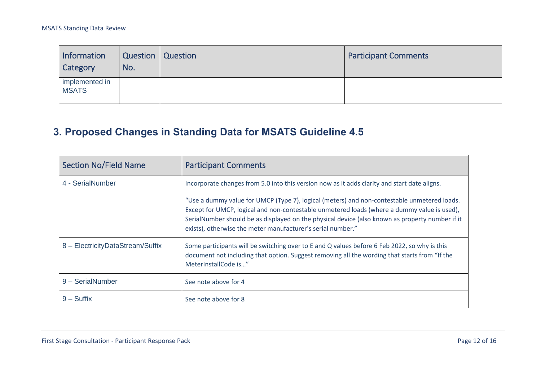| Information<br>Category        | Question<br>No. | Question | <b>Participant Comments</b> |
|--------------------------------|-----------------|----------|-----------------------------|
| implemented in<br><b>MSATS</b> |                 |          |                             |

## **3. Proposed Changes in Standing Data for MSATS Guideline 4.5**

<span id="page-11-0"></span>

| <b>Section No/Field Name</b>     | <b>Participant Comments</b>                                                                                                                                                                                                                                                                                                                                  |
|----------------------------------|--------------------------------------------------------------------------------------------------------------------------------------------------------------------------------------------------------------------------------------------------------------------------------------------------------------------------------------------------------------|
| 4 - SerialNumber                 | Incorporate changes from 5.0 into this version now as it adds clarity and start date aligns.                                                                                                                                                                                                                                                                 |
|                                  | "Use a dummy value for UMCP (Type 7), logical (meters) and non-contestable unmetered loads.<br>Except for UMCP, logical and non-contestable unmetered loads (where a dummy value is used),<br>SerialNumber should be as displayed on the physical device (also known as property number if it<br>exists), otherwise the meter manufacturer's serial number." |
| 8 - ElectricityDataStream/Suffix | Some participants will be switching over to E and Q values before 6 Feb 2022, so why is this<br>document not including that option. Suggest removing all the wording that starts from "If the<br>MeterInstallCode is"                                                                                                                                        |
| 9 - SerialNumber                 | See note above for 4                                                                                                                                                                                                                                                                                                                                         |
| $9 - S$ uffix                    | See note above for 8                                                                                                                                                                                                                                                                                                                                         |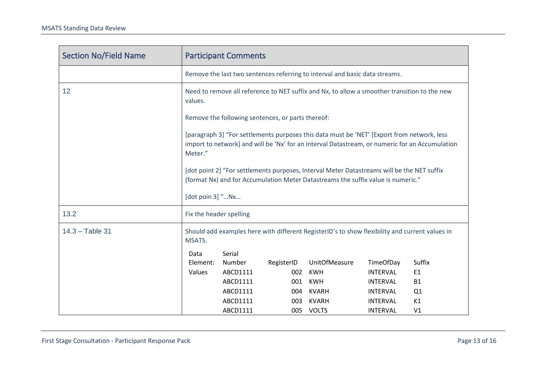| <b>Section No/Field Name</b> | <b>Participant Comments</b>                                                                                                                                                                             |                  |            |                      |                 |                |
|------------------------------|---------------------------------------------------------------------------------------------------------------------------------------------------------------------------------------------------------|------------------|------------|----------------------|-----------------|----------------|
|                              | Remove the last two sentences referring to interval and basic data streams.                                                                                                                             |                  |            |                      |                 |                |
| 12                           | Need to remove all reference to NET suffix and Nx, to allow a smoother transition to the new<br>values.                                                                                                 |                  |            |                      |                 |                |
|                              | Remove the following sentences, or parts thereof:                                                                                                                                                       |                  |            |                      |                 |                |
|                              | [paragraph 3] "For settlements purposes this data must be 'NET' [Export from network, less<br>import to network] and will be 'Nx' for an interval Datastream, or numeric for an Accumulation<br>Meter." |                  |            |                      |                 |                |
|                              | [dot point 2] "For settlements purposes, Interval Meter Datastreams will be the NET suffix<br>(format Nx) and for Accumulation Meter Datastreams the suffix value is numeric."<br>[dot poin 3] "Nx      |                  |            |                      |                 |                |
| 13.2                         | Fix the header spelling                                                                                                                                                                                 |                  |            |                      |                 |                |
| $14.3 - Table 31$            | Should add examples here with different RegisterID's to show flexibility and current values in<br>MSATS.                                                                                                |                  |            |                      |                 |                |
|                              | Data<br>Element:                                                                                                                                                                                        | Serial<br>Number | RegisterID | <b>UnitOfMeasure</b> | TimeOfDay       | Suffix         |
|                              | Values                                                                                                                                                                                                  | ABCD1111         | 002        | <b>KWH</b>           | <b>INTERVAL</b> | E1             |
|                              |                                                                                                                                                                                                         | ABCD1111         | 001        | <b>KWH</b>           | <b>INTERVAL</b> | <b>B1</b>      |
|                              |                                                                                                                                                                                                         | ABCD1111         | 004        | KVARH                | INTERVAL        | Q1             |
|                              |                                                                                                                                                                                                         | ABCD1111         | 003        | <b>KVARH</b>         | <b>INTERVAL</b> | K1             |
|                              |                                                                                                                                                                                                         | ABCD1111         | 005        | <b>VOLTS</b>         | <b>INTERVAL</b> | V <sub>1</sub> |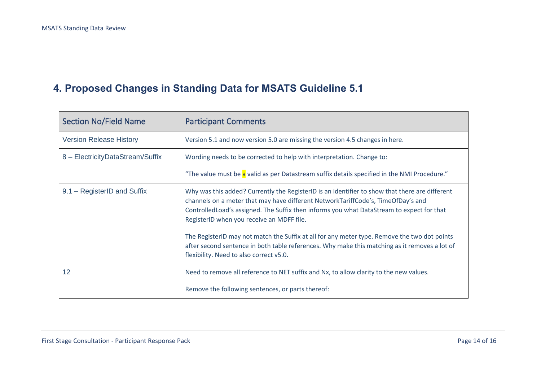## **4. Proposed Changes in Standing Data for MSATS Guideline 5.1**

<span id="page-13-0"></span>

| <b>Section No/Field Name</b>     | <b>Participant Comments</b>                                                                                                                                                                                                                                                                                                                                                                                                                                                                                                                                               |  |  |  |
|----------------------------------|---------------------------------------------------------------------------------------------------------------------------------------------------------------------------------------------------------------------------------------------------------------------------------------------------------------------------------------------------------------------------------------------------------------------------------------------------------------------------------------------------------------------------------------------------------------------------|--|--|--|
| <b>Version Release History</b>   | Version 5.1 and now version 5.0 are missing the version 4.5 changes in here.                                                                                                                                                                                                                                                                                                                                                                                                                                                                                              |  |  |  |
| 8 - ElectricityDataStream/Suffix | Wording needs to be corrected to help with interpretation. Change to:                                                                                                                                                                                                                                                                                                                                                                                                                                                                                                     |  |  |  |
|                                  | "The value must be-a valid as per Datastream suffix details specified in the NMI Procedure."                                                                                                                                                                                                                                                                                                                                                                                                                                                                              |  |  |  |
| 9.1 – RegisterID and Suffix      | Why was this added? Currently the RegisterID is an identifier to show that there are different<br>channels on a meter that may have different NetworkTariffCode's, TimeOfDay's and<br>Controlled Load's assigned. The Suffix then informs you what DataStream to expect for that<br>RegisterID when you receive an MDFF file.<br>The RegisterID may not match the Suffix at all for any meter type. Remove the two dot points<br>after second sentence in both table references. Why make this matching as it removes a lot of<br>flexibility. Need to also correct v5.0. |  |  |  |
| 12                               | Need to remove all reference to NET suffix and Nx, to allow clarity to the new values.<br>Remove the following sentences, or parts thereof:                                                                                                                                                                                                                                                                                                                                                                                                                               |  |  |  |
|                                  |                                                                                                                                                                                                                                                                                                                                                                                                                                                                                                                                                                           |  |  |  |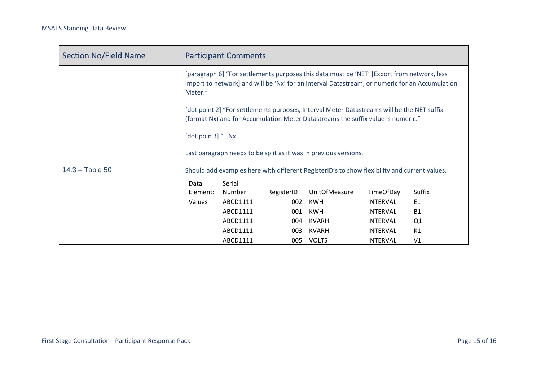| <b>Section No/Field Name</b> | <b>Participant Comments</b>                                                                                                                                                                             |          |            |                                                                  |                  |                |
|------------------------------|---------------------------------------------------------------------------------------------------------------------------------------------------------------------------------------------------------|----------|------------|------------------------------------------------------------------|------------------|----------------|
|                              | [paragraph 6] "For settlements purposes this data must be 'NET' [Export from network, less<br>import to network] and will be 'Nx' for an interval Datastream, or numeric for an Accumulation<br>Meter." |          |            |                                                                  |                  |                |
|                              | [dot point 2] "For settlements purposes, Interval Meter Datastreams will be the NET suffix<br>(format Nx) and for Accumulation Meter Datastreams the suffix value is numeric."                          |          |            |                                                                  |                  |                |
|                              | [dot poin 3] "Nx                                                                                                                                                                                        |          |            |                                                                  |                  |                |
|                              |                                                                                                                                                                                                         |          |            | Last paragraph needs to be split as it was in previous versions. |                  |                |
| $14.3 - Table 50$            | Should add examples here with different RegisterID's to show flexibility and current values.                                                                                                            |          |            |                                                                  |                  |                |
|                              | Data                                                                                                                                                                                                    | Serial   |            |                                                                  |                  |                |
|                              | Element:                                                                                                                                                                                                | Number   | RegisterID | <b>UnitOfMeasure</b>                                             | <b>TimeOfDay</b> | Suffix         |
|                              | <b>Values</b>                                                                                                                                                                                           | ABCD1111 | 002        | <b>KWH</b>                                                       | <b>INTERVAL</b>  | E1             |
|                              |                                                                                                                                                                                                         | ABCD1111 | 001        | KWH                                                              | <b>INTERVAL</b>  | <b>B1</b>      |
|                              |                                                                                                                                                                                                         | ABCD1111 | 004        | KVARH                                                            | <b>INTERVAL</b>  | Q1             |
|                              |                                                                                                                                                                                                         | ABCD1111 | 003        | KVARH                                                            | <b>INTERVAL</b>  | K1             |
|                              |                                                                                                                                                                                                         | ABCD1111 | 005        | VOLTS                                                            | <b>INTERVAL</b>  | V <sub>1</sub> |